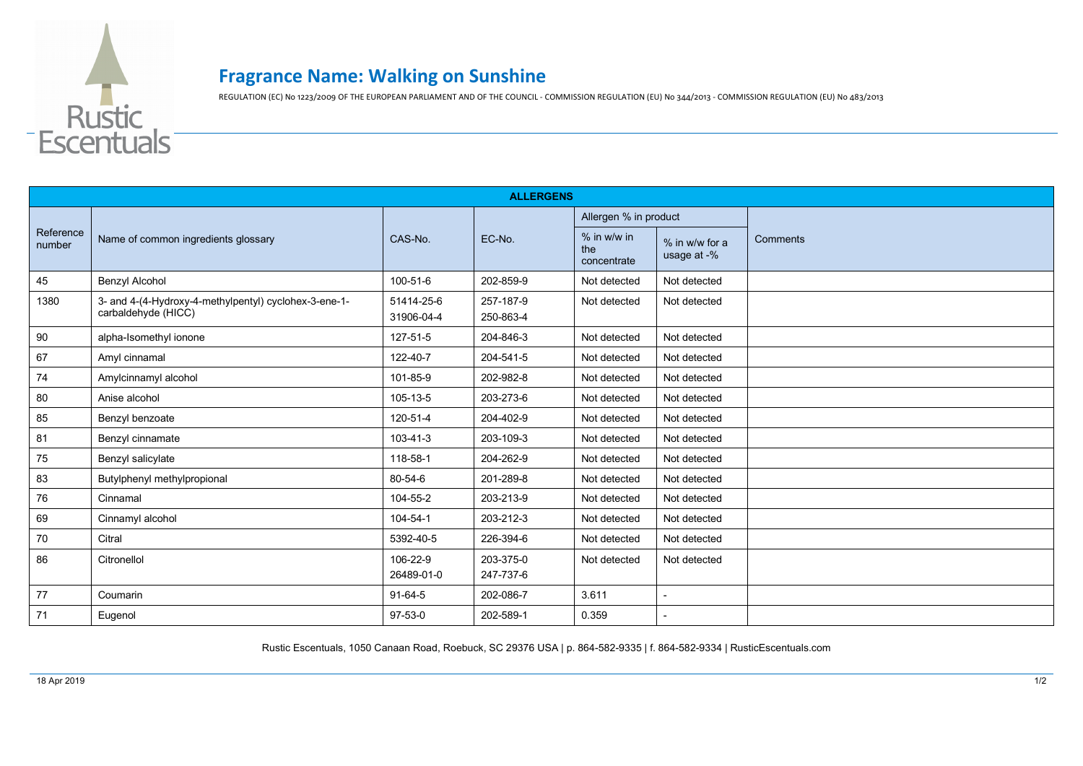

## **Fragrance Name: Walking on Sunshine**

REGULATION (EC) No 1223/2009 OF THE EUROPEAN PARLIAMENT AND OF THE COUNCIL - COMMISSION REGULATION (EU) No 344/2013 - COMMISSION REGULATION (EU) No 483/2013

| <b>ALLERGENS</b>    |                                                                              |                          |                        |                                   |                               |          |  |  |  |
|---------------------|------------------------------------------------------------------------------|--------------------------|------------------------|-----------------------------------|-------------------------------|----------|--|--|--|
| Reference<br>number | Name of common ingredients glossary                                          | CAS-No.                  | EC-No.                 | Allergen % in product             |                               |          |  |  |  |
|                     |                                                                              |                          |                        | % in w/w in<br>the<br>concentrate | % in w/w for a<br>usage at -% | Comments |  |  |  |
| 45                  | <b>Benzyl Alcohol</b>                                                        | 100-51-6                 | 202-859-9              | Not detected                      | Not detected                  |          |  |  |  |
| 1380                | 3- and 4-(4-Hydroxy-4-methylpentyl) cyclohex-3-ene-1-<br>carbaldehyde (HICC) | 51414-25-6<br>31906-04-4 | 257-187-9<br>250-863-4 | Not detected                      | Not detected                  |          |  |  |  |
| 90                  | alpha-Isomethyl ionone                                                       | 127-51-5                 | 204-846-3              | Not detected                      | Not detected                  |          |  |  |  |
| 67                  | Amyl cinnamal                                                                | 122-40-7                 | 204-541-5              | Not detected                      | Not detected                  |          |  |  |  |
| 74                  | Amylcinnamyl alcohol                                                         | 101-85-9                 | 202-982-8              | Not detected                      | Not detected                  |          |  |  |  |
| 80                  | Anise alcohol                                                                | 105-13-5                 | 203-273-6              | Not detected                      | Not detected                  |          |  |  |  |
| 85                  | Benzyl benzoate                                                              | 120-51-4                 | 204-402-9              | Not detected                      | Not detected                  |          |  |  |  |
| 81                  | Benzyl cinnamate                                                             | 103-41-3                 | 203-109-3              | Not detected                      | Not detected                  |          |  |  |  |
| 75                  | Benzyl salicylate                                                            | 118-58-1                 | 204-262-9              | Not detected                      | Not detected                  |          |  |  |  |
| 83                  | Butylphenyl methylpropional                                                  | 80-54-6                  | 201-289-8              | Not detected                      | Not detected                  |          |  |  |  |
| 76                  | Cinnamal                                                                     | 104-55-2                 | 203-213-9              | Not detected                      | Not detected                  |          |  |  |  |
| 69                  | Cinnamyl alcohol                                                             | 104-54-1                 | 203-212-3              | Not detected                      | Not detected                  |          |  |  |  |
| 70                  | Citral                                                                       | 5392-40-5                | 226-394-6              | Not detected                      | Not detected                  |          |  |  |  |
| 86                  | Citronellol                                                                  | 106-22-9<br>26489-01-0   | 203-375-0<br>247-737-6 | Not detected                      | Not detected                  |          |  |  |  |
| 77                  | Coumarin                                                                     | 91-64-5                  | 202-086-7              | 3.611                             |                               |          |  |  |  |
| 71                  | Eugenol                                                                      | $97 - 53 - 0$            | 202-589-1              | 0.359                             |                               |          |  |  |  |

Rustic Escentuals, 1050 Canaan Road, Roebuck, SC 29376 USA | p. 864-582-9335 | f. 864-582-9334 | RusticEscentuals.com